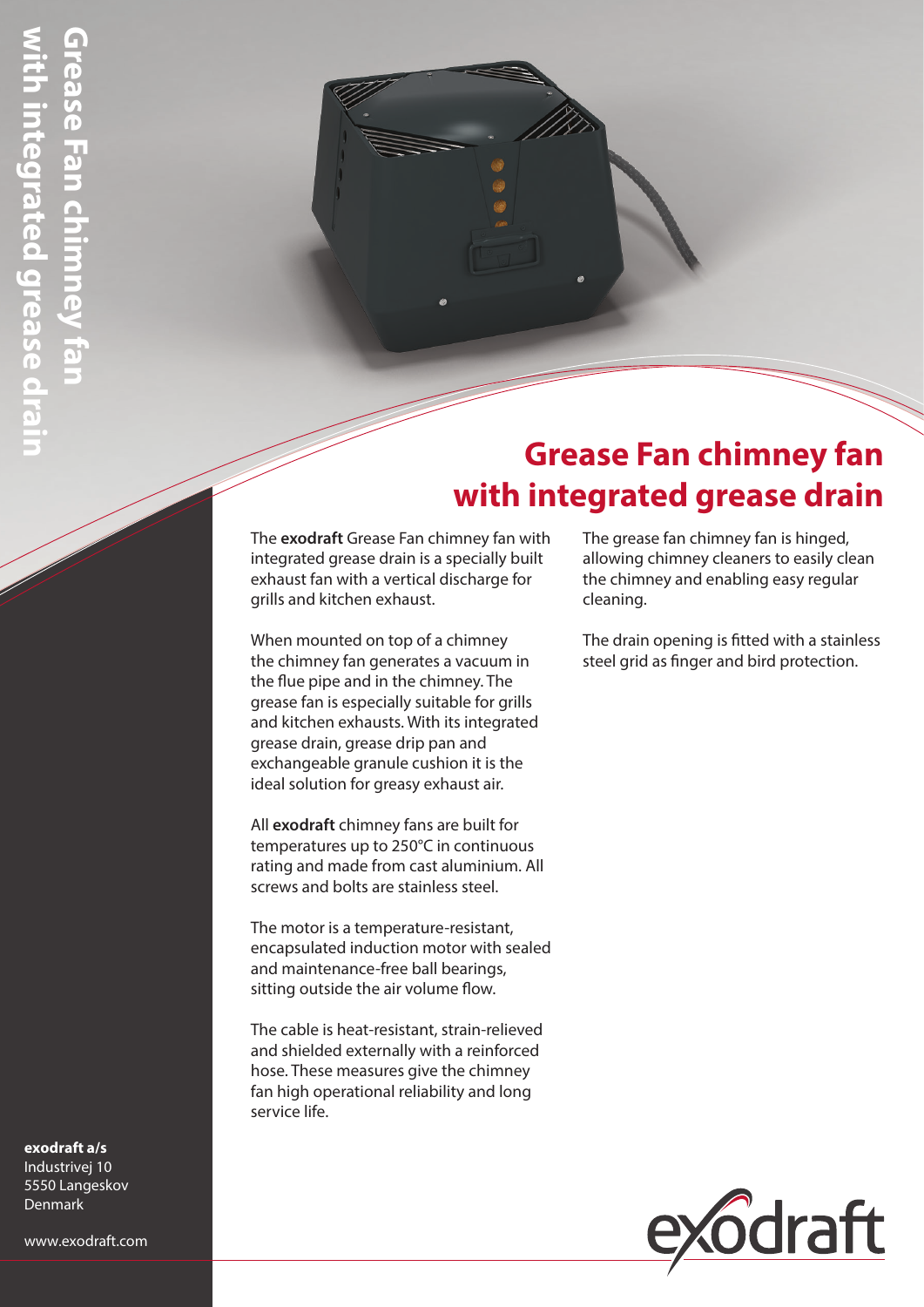## **Grease Fan chimney fan with integrated grease drain**

The **exodraft** Grease Fan chimney fan with integrated grease drain is a specially built exhaust fan with a vertical discharge for grills and kitchen exhaust.

When mounted on top of a chimney the chimney fan generates a vacuum in the flue pipe and in the chimney. The grease fan is especially suitable for grills and kitchen exhausts. With its integrated grease drain, grease drip pan and exchangeable granule cushion it is the ideal solution for greasy exhaust air.

All **exodraft** chimney fans are built for temperatures up to 250°C in continuous rating and made from cast aluminium. All screws and bolts are stainless steel.

The motor is a temperature-resistant, encapsulated induction motor with sealed and maintenance-free ball bearings, sitting outside the air volume flow.

The cable is heat-resistant, strain-relieved and shielded externally with a reinforced hose. These measures give the chimney fan high operational reliability and long service life.

The grease fan chimney fan is hinged, allowing chimney cleaners to easily clean the chimney and enabling easy regular cleaning.

The drain opening is fitted with a stainless steel grid as finger and bird protection.



#### **exodraft a/s**  Industrivej 10 5550 Langeskov Denmark

www.exodraft.com